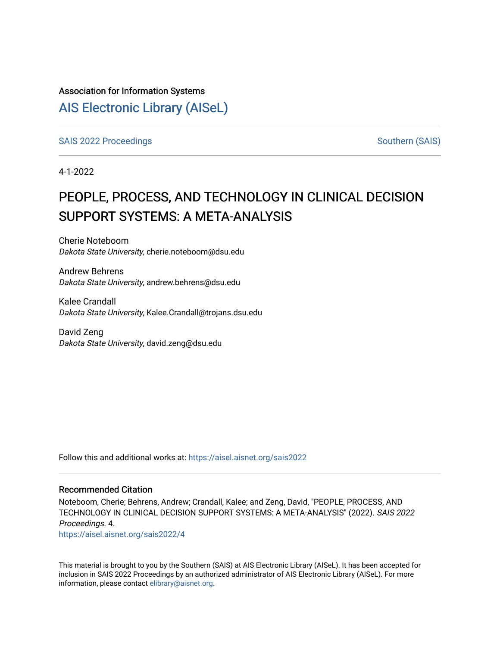### Association for Information Systems

### [AIS Electronic Library \(AISeL\)](https://aisel.aisnet.org/)

[SAIS 2022 Proceedings](https://aisel.aisnet.org/sais2022) [Southern \(SAIS\)](https://aisel.aisnet.org/sais) Southern (SAIS)

4-1-2022

# PEOPLE, PROCESS, AND TECHNOLOGY IN CLINICAL DECISION SUPPORT SYSTEMS: A META-ANALYSIS

Cherie Noteboom Dakota State University, cherie.noteboom@dsu.edu

Andrew Behrens Dakota State University, andrew.behrens@dsu.edu

Kalee Crandall Dakota State University, Kalee.Crandall@trojans.dsu.edu

David Zeng Dakota State University, david.zeng@dsu.edu

Follow this and additional works at: [https://aisel.aisnet.org/sais2022](https://aisel.aisnet.org/sais2022?utm_source=aisel.aisnet.org%2Fsais2022%2F4&utm_medium=PDF&utm_campaign=PDFCoverPages) 

### Recommended Citation

Noteboom, Cherie; Behrens, Andrew; Crandall, Kalee; and Zeng, David, "PEOPLE, PROCESS, AND TECHNOLOGY IN CLINICAL DECISION SUPPORT SYSTEMS: A META-ANALYSIS" (2022). SAIS 2022 Proceedings. 4.

[https://aisel.aisnet.org/sais2022/4](https://aisel.aisnet.org/sais2022/4?utm_source=aisel.aisnet.org%2Fsais2022%2F4&utm_medium=PDF&utm_campaign=PDFCoverPages) 

This material is brought to you by the Southern (SAIS) at AIS Electronic Library (AISeL). It has been accepted for inclusion in SAIS 2022 Proceedings by an authorized administrator of AIS Electronic Library (AISeL). For more information, please contact [elibrary@aisnet.org.](mailto:elibrary@aisnet.org%3E)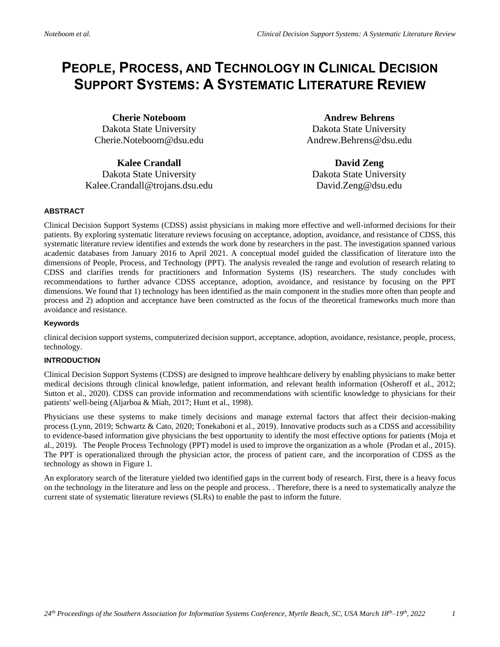## **PEOPLE, PROCESS, AND TECHNOLOGY IN CLINICAL DECISION SUPPORT SYSTEMS: A SYSTEMATIC LITERATURE REVIEW**

**Cherie Noteboom** Dakota State University Cherie.Noteboom@dsu.edu

**Kalee Crandall** Dakota State University Kalee.Crandall@trojans.dsu.edu

**Andrew Behrens** Dakota State University Andrew.Behrens@dsu.edu

**David Zeng** Dakota State University David.Zeng@dsu.edu

#### **ABSTRACT**

Clinical Decision Support Systems (CDSS) assist physicians in making more effective and well-informed decisions for their patients. By exploring systematic literature reviews focusing on acceptance, adoption, avoidance, and resistance of CDSS, this systematic literature review identifies and extends the work done by researchers in the past. The investigation spanned various academic databases from January 2016 to April 2021. A conceptual model guided the classification of literature into the dimensions of People, Process, and Technology (PPT). The analysis revealed the range and evolution of research relating to CDSS and clarifies trends for practitioners and Information Systems (IS) researchers. The study concludes with recommendations to further advance CDSS acceptance, adoption, avoidance, and resistance by focusing on the PPT dimensions. We found that 1) technology has been identified as the main component in the studies more often than people and process and 2) adoption and acceptance have been constructed as the focus of the theoretical frameworks much more than avoidance and resistance.

#### **Keywords**

clinical decision support systems, computerized decision support, acceptance, adoption, avoidance, resistance, people, process, technology.

#### **INTRODUCTION**

Clinical Decision Support Systems (CDSS) are designed to improve healthcare delivery by enabling physicians to make better medical decisions through clinical knowledge, patient information, and relevant health information (Osheroff et al., 2012; Sutton et al., 2020). CDSS can provide information and recommendations with scientific knowledge to physicians for their patients' well-being (Aljarboa & Miah, 2017; Hunt et al., 1998).

Physicians use these systems to make timely decisions and manage external factors that affect their decision-making process (Lynn, 2019; Schwartz & Cato, 2020; Tonekaboni et al., 2019). Innovative products such as a CDSS and accessibility to evidence-based information give physicians the best opportunity to identify the most effective options for patients (Moja et al., 2019). The People Process Technology (PPT) model is used to improve the organization as a whole (Prodan et al., 2015). The PPT is operationalized through the physician actor, the process of patient care, and the incorporation of CDSS as the technology as shown in Figure 1.

An exploratory search of the literature yielded two identified gaps in the current body of research. First, there is a heavy focus on the technology in the literature and less on the people and process. . Therefore, there is a need to systematically analyze the current state of systematic literature reviews (SLRs) to enable the past to inform the future.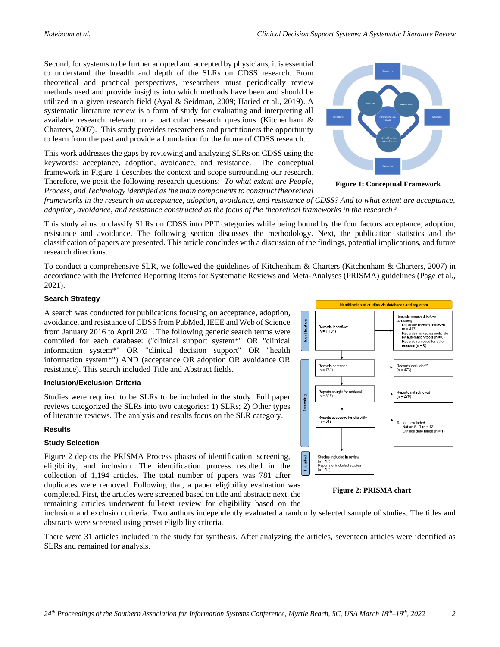Second, for systems to be further adopted and accepted by physicians, it is essential to understand the breadth and depth of the SLRs on CDSS research. From theoretical and practical perspectives, researchers must periodically review methods used and provide insights into which methods have been and should be utilized in a given research field (Ayal & Seidman, 2009; Haried et al., 2019). A systematic literature review is a form of study for evaluating and interpreting all available research relevant to a particular research questions (Kitchenham & Charters, 2007). This study provides researchers and practitioners the opportunity to learn from the past and provide a foundation for the future of CDSS research. .

This work addresses the gaps by reviewing and analyzing SLRs on CDSS using the keywords: acceptance, adoption, avoidance, and resistance. The conceptual framework in Figure 1 describes the context and scope surrounding our research. Therefore, we posit the following research questions: *To what extent are People, Process, and Technology identified as the main components to construct theoretical* 



**Figure 1: Conceptual Framework**

*frameworks in the research on acceptance, adoption, avoidance, and resistance of CDSS? And to what extent are acceptance, adoption, avoidance, and resistance constructed as the focus of the theoretical frameworks in the research?*

This study aims to classify SLRs on CDSS into PPT categories while being bound by the four factors acceptance, adoption, resistance and avoidance. The following section discusses the methodology. Next, the publication statistics and the classification of papers are presented. This article concludes with a discussion of the findings, potential implications, and future research directions.

To conduct a comprehensive SLR, we followed the guidelines of Kitchenham & Charters (Kitchenham & Charters, 2007) in accordance with the Preferred Reporting Items for Systematic Reviews and Meta-Analyses (PRISMA) guidelines (Page et al., 2021).

#### **Search Strategy**

A search was conducted for publications focusing on acceptance, adoption, avoidance, and resistance of CDSS from PubMed, IEEE and Web of Science from January 2016 to April 2021. The following generic search terms were compiled for each database: ("clinical support system\*" OR "clinical information system\*" OR "clinical decision support" OR "health information system\*") AND (acceptance OR adoption OR avoidance OR resistance). This search included Title and Abstract fields.

#### **Inclusion/Exclusion Criteria**

Studies were required to be SLRs to be included in the study. Full paper reviews categorized the SLRs into two categories: 1) SLRs; 2) Other types of literature reviews. The analysis and results focus on the SLR category.

#### **Results**

#### **Study Selection**

Figure 2 depicts the PRISMA Process phases of identification, screening, eligibility, and inclusion. The identification process resulted in the collection of 1,194 articles. The total number of papers was 781 after duplicates were removed. Following that, a paper eligibility evaluation was completed. First, the articles were screened based on title and abstract; next, the remaining articles underwent full-text review for eligibility based on the



**Figure 2: PRISMA chart**

inclusion and exclusion criteria. Two authors independently evaluated a randomly selected sample of studies. The titles and abstracts were screened using preset eligibility criteria.

There were 31 articles included in the study for synthesis. After analyzing the articles, seventeen articles were identified as SLRs and remained for analysis.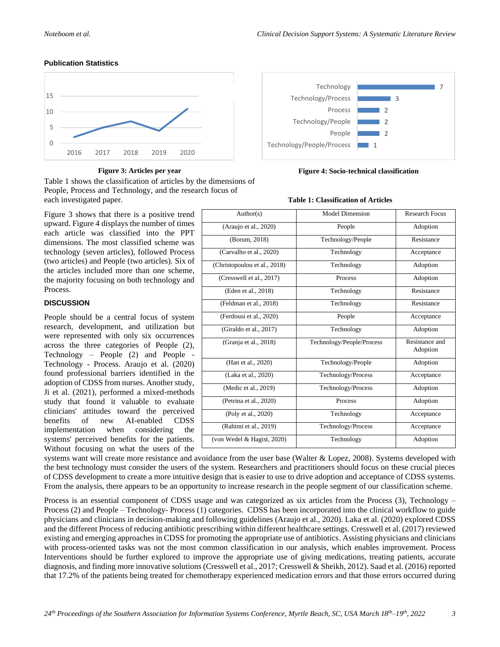#### **Publication Statistics**



Table 1 shows the classification of articles by the dimensions of People, Process and Technology, and the research focus of each investigated paper.

Figure 3 shows that there is a positive trend upward. Figure 4 displays the number of times each article was classified into the PPT dimensions. The most classified scheme was technology (seven articles), followed Process (two articles) and People (two articles). Six of the articles included more than one scheme, the majority focusing on both technology and Process.

#### **DISCUSSION**

People should be a central focus of system research, development, and utilization but were represented with only six occurrences across the three categories of People (2), Technology – People (2) and People - Technology - Process. Araujo et al. (2020) found professional barriers identified in the adoption of CDSS from nurses. Another study, Ji et al. (2021), performed a mixed-methods study that found it valuable to evaluate clinicians' attitudes toward the perceived benefits of new AI-enabled CDSS implementation when considering the systems' perceived benefits for the patients. Without focusing on what the users of the



#### **Figure 3: Articles per year Figure 4: Socio-technical classification**

#### **Table 1: Classification of Articles**

| Author(s)                    | <b>Model Dimension</b>    | <b>Research Focus</b>      |
|------------------------------|---------------------------|----------------------------|
| (Araujo et al., 2020)        | People                    | Adoption                   |
| (Borum, 2018)                | Technology/People         | Resistance                 |
| (Carvalho et al., 2020)      | Technology                | Acceptance                 |
| (Christopoulou et al., 2018) | Technology                | Adoption                   |
| (Cresswell et al., 2017)     | Process                   | Adoption                   |
| (Eden et al., 2018)          | Technology                | Resistance                 |
| (Feldman et al., 2018)       | Technology                | Resistance                 |
| (Ferdousi et al., 2020)      | People                    | Acceptance                 |
| (Giraldo et al., 2017)       | Technology                | Adoption                   |
| (Granja et al., 2018)        | Technology/People/Process | Resistance and<br>Adoption |
| (Han et al., 2020)           | Technology/People         | Adoption                   |
| (Laka et al., 2020)          | Technology/Process        | Acceptance                 |
| (Medic et al., 2019)         | Technology/Process        | Adoption                   |
| (Petrina et al., 2020)       | Process                   | Adoption                   |
| (Poly et al., 2020)          | Technology                | Acceptance                 |
| (Rahimi et al., 2019)        | Technology/Process        | Acceptance                 |
| (von Wedel & Hagist, 2020)   | Technology                | Adoption                   |

systems want will create more resistance and avoidance from the user base (Walter & Lopez, 2008). Systems developed with the best technology must consider the users of the system. Researchers and practitioners should focus on these crucial pieces of CDSS development to create a more intuitive design that is easier to use to drive adoption and acceptance of CDSS systems. From the analysis, there appears to be an opportunity to increase research in the people segment of our classification scheme.

Process is an essential component of CDSS usage and was categorized as six articles from the Process (3), Technology – Process (2) and People – Technology- Process (1) categories. CDSS has been incorporated into the clinical workflow to guide physicians and clinicians in decision-making and following guidelines (Araujo et al., 2020). Laka et al. (2020) explored CDSS and the different Process of reducing antibiotic prescribing within different healthcare settings. Cresswell et al. (2017) reviewed existing and emerging approaches in CDSS for promoting the appropriate use of antibiotics. Assisting physicians and clinicians with process-oriented tasks was not the most common classification in our analysis, which enables improvement. Process Interventions should be further explored to improve the appropriate use of giving medications, treating patients, accurate diagnosis, and finding more innovative solutions (Cresswell et al., 2017; Cresswell & Sheikh, 2012). Saad et al. (2016) reported that 17.2% of the patients being treated for chemotherapy experienced medication errors and that those errors occurred during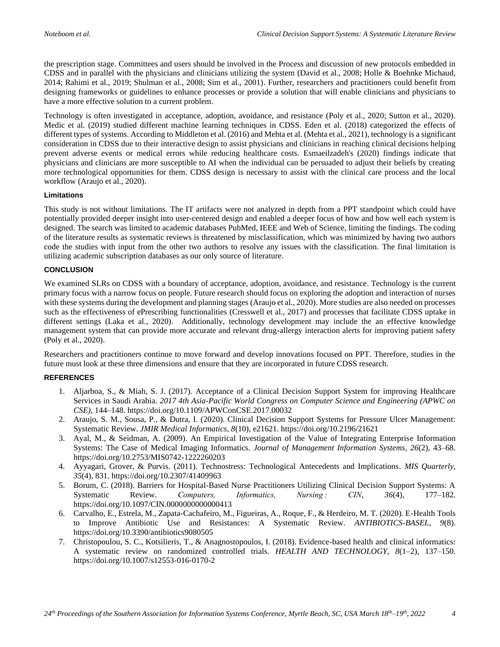the prescription stage. Committees and users should be involved in the Process and discussion of new protocols embedded in CDSS and in parallel with the physicians and clinicians utilizing the system (David et al., 2008; Holle & Boehnke Michaud, 2014; Rahimi et al., 2019; Shulman et al., 2008; Sim et al., 2001). Further, researchers and practitioners could benefit from designing frameworks or guidelines to enhance processes or provide a solution that will enable clinicians and physicians to have a more effective solution to a current problem.

Technology is often investigated in acceptance, adoption, avoidance, and resistance (Poly et al., 2020; Sutton et al., 2020). Medic et al. (2019) studied different machine learning techniques in CDSS. Eden et al. (2018) categorized the effects of different types of systems. According to Middleton et al. (2016) and Mehta et al. (Mehta et al., 2021), technology is a significant consideration in CDSS due to their interactive design to assist physicians and clinicians in reaching clinical decisions helping prevent adverse events or medical errors while reducing healthcare costs. Esmaeilzadeh's (2020) findings indicate that physicians and clinicians are more susceptible to AI when the individual can be persuaded to adjust their beliefs by creating more technological opportunities for them. CDSS design is necessary to assist with the clinical care process and the local workflow (Araujo et al., 2020).

#### **Limitations**

This study is not without limitations. The IT artifacts were not analyzed in depth from a PPT standpoint which could have potentially provided deeper insight into user-centered design and enabled a deeper focus of how and how well each system is designed. The search was limited to academic databases PubMed, IEEE and Web of Science, limiting the findings. The coding of the literature results as systematic reviews is threatened by misclassification, which was minimized by having two authors code the studies with input from the other two authors to resolve any issues with the classification. The final limitation is utilizing academic subscription databases as our only source of literature.

#### **CONCLUSION**

We examined SLRs on CDSS with a boundary of acceptance, adoption, avoidance, and resistance. Technology is the current primary focus with a narrow focus on people. Future research should focus on exploring the adoption and interaction of nurses with these systems during the development and planning stages (Araujo et al., 2020). More studies are also needed on processes such as the effectiveness of ePrescribing functionalities (Cresswell et al., 2017) and processes that facilitate CDSS uptake in different settings (Laka et al., 2020). Additionally, technology development may include the an effective knowledge management system that can provide more accurate and relevant drug-allergy interaction alerts for improving patient safety (Poly et al., 2020).

Researchers and practitioners continue to move forward and develop innovations focused on PPT. Therefore, studies in the future must look at these three dimensions and ensure that they are incorporated in future CDSS research.

#### **REFERENCES**

- 1. Aljarboa, S., & Miah, S. J. (2017). Acceptance of a Clinical Decision Support System for improving Healthcare Services in Saudi Arabia. *2017 4th Asia-Pacific World Congress on Computer Science and Engineering (APWC on CSE)*, 144–148. https://doi.org/10.1109/APWConCSE.2017.00032
- 2. Araujo, S. M., Sousa, P., & Dutra, I. (2020). Clinical Decision Support Systems for Pressure Ulcer Management: Systematic Review. *JMIR Medical Informatics*, *8*(10), e21621. https://doi.org/10.2196/21621
- 3. Ayal, M., & Seidman, A. (2009). An Empirical Investigation of the Value of Integrating Enterprise Information Systems: The Case of Medical Imaging Informatics. *Journal of Management Information Systems*, *26*(2), 43–68. https://doi.org/10.2753/MIS0742-1222260203
- 4. Ayyagari, Grover, & Purvis. (2011). Technostress: Technological Antecedents and Implications. *MIS Quarterly*, *35*(4), 831. https://doi.org/10.2307/41409963
- 5. Borum, C. (2018). Barriers for Hospital-Based Nurse Practitioners Utilizing Clinical Decision Support Systems: A Systematic Review. *Computers, Informatics, Nursing : CIN*, *36*(4), 177–182. https://doi.org/10.1097/CIN.0000000000000413
- 6. Carvalho, E., Estrela, M., Zapata-Cachafeiro, M., Figueiras, A., Roque, F., & Herdeiro, M. T. (2020). E-Health Tools to Improve Antibiotic Use and Resistances: A Systematic Review. *ANTIBIOTICS-BASEL*, *9*(8). https://doi.org/10.3390/antibiotics9080505
- 7. Christopoulou, S. C., Kotsilieris, T., & Anagnostopoulos, I. (2018). Evidence-based health and clinical informatics: A systematic review on randomized controlled trials. *HEALTH AND TECHNOLOGY*, *8*(1–2), 137–150. https://doi.org/10.1007/s12553-016-0170-2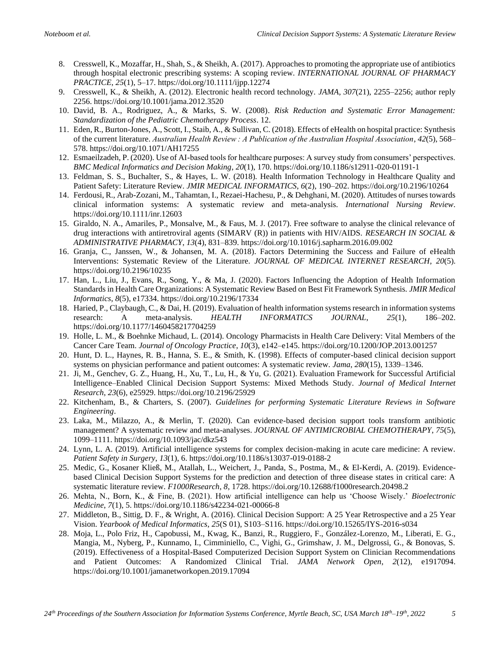- 8. Cresswell, K., Mozaffar, H., Shah, S., & Sheikh, A. (2017). Approaches to promoting the appropriate use of antibiotics through hospital electronic prescribing systems: A scoping review. *INTERNATIONAL JOURNAL OF PHARMACY PRACTICE*, *25*(1), 5–17. https://doi.org/10.1111/ijpp.12274
- 9. Cresswell, K., & Sheikh, A. (2012). Electronic health record technology. *JAMA*, *307*(21), 2255–2256; author reply 2256. https://doi.org/10.1001/jama.2012.3520
- 10. David, B. A., Rodriguez, A., & Marks, S. W. (2008). *Risk Reduction and Systematic Error Management: Standardization of the Pediatric Chemotherapy Process*. 12.
- 11. Eden, R., Burton-Jones, A., Scott, I., Staib, A., & Sullivan, C. (2018). Effects of eHealth on hospital practice: Synthesis of the current literature. *Australian Health Review : A Publication of the Australian Hospital Association*, *42*(5), 568– 578. https://doi.org/10.1071/AH17255
- 12. Esmaeilzadeh, P. (2020). Use of AI-based tools for healthcare purposes: A survey study from consumers' perspectives. *BMC Medical Informatics and Decision Making*, *20*(1), 170. https://doi.org/10.1186/s12911-020-01191-1
- 13. Feldman, S. S., Buchalter, S., & Hayes, L. W. (2018). Health Information Technology in Healthcare Quality and Patient Safety: Literature Review. *JMIR MEDICAL INFORMATICS*, *6*(2), 190–202. https://doi.org/10.2196/10264
- 14. Ferdousi, R., Arab-Zozani, M., Tahamtan, I., Rezaei-Hachesu, P., & Dehghani, M. (2020). Attitudes of nurses towards clinical information systems: A systematic review and meta-analysis. *International Nursing Review*. https://doi.org/10.1111/inr.12603
- 15. Giraldo, N. A., Amariles, P., Monsalve, M., & Faus, M. J. (2017). Free software to analyse the clinical relevance of drug interactions with antiretroviral agents (SIMARV (R)) in patients with HIV/AIDS. *RESEARCH IN SOCIAL & ADMINISTRATIVE PHARMACY*, *13*(4), 831–839. https://doi.org/10.1016/j.sapharm.2016.09.002
- 16. Granja, C., Janssen, W., & Johansen, M. A. (2018). Factors Determining the Success and Failure of eHealth Interventions: Systematic Review of the Literature. *JOURNAL OF MEDICAL INTERNET RESEARCH*, *20*(5). https://doi.org/10.2196/10235
- 17. Han, L., Liu, J., Evans, R., Song, Y., & Ma, J. (2020). Factors Influencing the Adoption of Health Information Standards in Health Care Organizations: A Systematic Review Based on Best Fit Framework Synthesis. *JMIR Medical Informatics*, *8*(5), e17334. https://doi.org/10.2196/17334
- 18. Haried, P., Claybaugh, C., & Dai, H. (2019). Evaluation of health information systems research in information systems research: A meta-analysis. *HEALTH INFORMATICS JOURNAL*, *25*(1), 186–202. https://doi.org/10.1177/1460458217704259
- 19. Holle, L. M., & Boehnke Michaud, L. (2014). Oncology Pharmacists in Health Care Delivery: Vital Members of the Cancer Care Team. *Journal of Oncology Practice*, *10*(3), e142–e145. https://doi.org/10.1200/JOP.2013.001257
- 20. Hunt, D. L., Haynes, R. B., Hanna, S. E., & Smith, K. (1998). Effects of computer-based clinical decision support systems on physician performance and patient outcomes: A systematic review. *Jama*, *280*(15), 1339–1346.
- 21. Ji, M., Genchev, G. Z., Huang, H., Xu, T., Lu, H., & Yu, G. (2021). Evaluation Framework for Successful Artificial Intelligence–Enabled Clinical Decision Support Systems: Mixed Methods Study. *Journal of Medical Internet Research*, *23*(6), e25929. https://doi.org/10.2196/25929
- 22. Kitchenham, B., & Charters, S. (2007). *Guidelines for performing Systematic Literature Reviews in Software Engineering*.
- 23. Laka, M., Milazzo, A., & Merlin, T. (2020). Can evidence-based decision support tools transform antibiotic management? A systematic review and meta-analyses. *JOURNAL OF ANTIMICROBIAL CHEMOTHERAPY*, *75*(5), 1099–1111. https://doi.org/10.1093/jac/dkz543
- 24. Lynn, L. A. (2019). Artificial intelligence systems for complex decision-making in acute care medicine: A review. *Patient Safety in Surgery*, *13*(1), 6. https://doi.org/10.1186/s13037-019-0188-2
- 25. Medic, G., Kosaner Kließ, M., Atallah, L., Weichert, J., Panda, S., Postma, M., & El-Kerdi, A. (2019). Evidencebased Clinical Decision Support Systems for the prediction and detection of three disease states in critical care: A systematic literature review. *F1000Research*, *8*, 1728. https://doi.org/10.12688/f1000research.20498.2
- 26. Mehta, N., Born, K., & Fine, B. (2021). How artificial intelligence can help us 'Choose Wisely.' *Bioelectronic Medicine*, *7*(1), 5. https://doi.org/10.1186/s42234-021-00066-8
- 27. Middleton, B., Sittig, D. F., & Wright, A. (2016). Clinical Decision Support: A 25 Year Retrospective and a 25 Year Vision. *Yearbook of Medical Informatics*, *25*(S 01), S103–S116. https://doi.org/10.15265/IYS-2016-s034
- 28. Moja, L., Polo Friz, H., Capobussi, M., Kwag, K., Banzi, R., Ruggiero, F., González-Lorenzo, M., Liberati, E. G., Mangia, M., Nyberg, P., Kunnamo, I., Cimminiello, C., Vighi, G., Grimshaw, J. M., Delgrossi, G., & Bonovas, S. (2019). Effectiveness of a Hospital-Based Computerized Decision Support System on Clinician Recommendations and Patient Outcomes: A Randomized Clinical Trial. *JAMA Network Open*, *2*(12), e1917094. https://doi.org/10.1001/jamanetworkopen.2019.17094